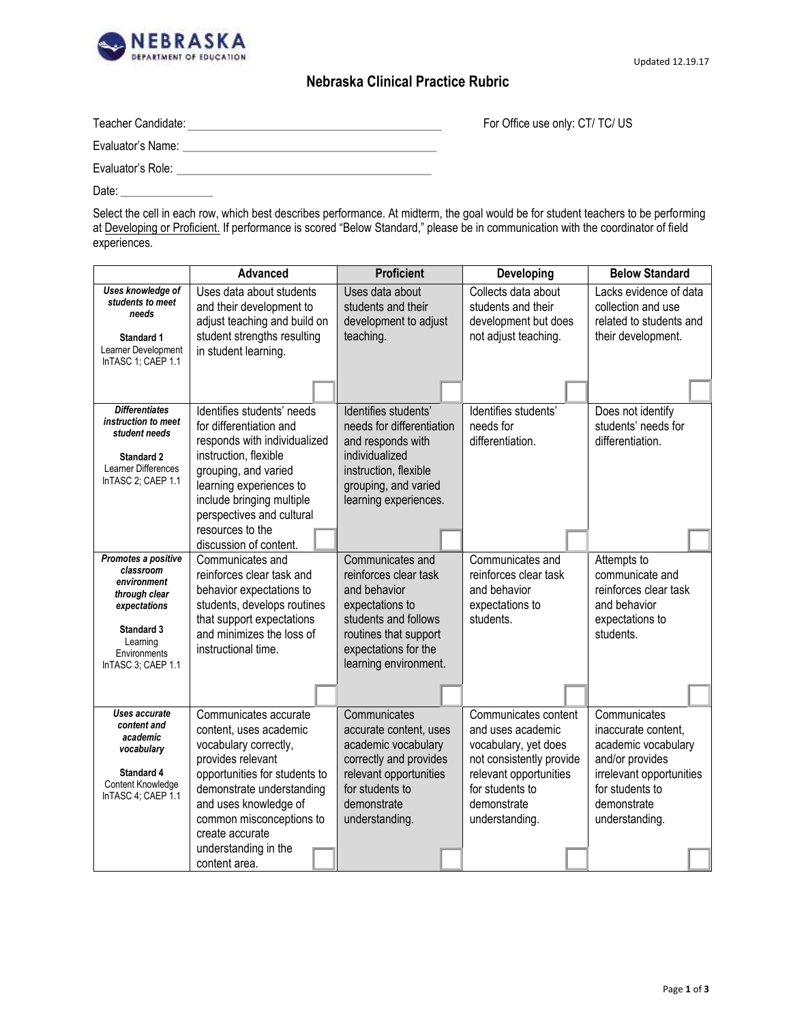

For Office use only: CT/ TC/ US

## **Nebraska Clinical Practice Rubric**

| Teacher Candidate: |  |
|--------------------|--|
| Evaluator's Name:  |  |
| Evaluator's Role:  |  |
| Date:              |  |

Select the cell in each row, which best describes performance. At midterm, the goal would be for student teachers to be performing at Developing or Proficient. If performance is scored "Below Standard," please be in communication with the coordinator of field experiences.

|                                                                                                                                                         | Advanced                                                                                                                                                                                                                            | <b>Proficient</b>                                                                                                                                                              | <b>Developing</b>                                                                                                                                                           | <b>Below Standard</b>                                                                                                                                         |
|---------------------------------------------------------------------------------------------------------------------------------------------------------|-------------------------------------------------------------------------------------------------------------------------------------------------------------------------------------------------------------------------------------|--------------------------------------------------------------------------------------------------------------------------------------------------------------------------------|-----------------------------------------------------------------------------------------------------------------------------------------------------------------------------|---------------------------------------------------------------------------------------------------------------------------------------------------------------|
| Uses knowledge of<br>students to meet<br>needs<br><b>Standard 1</b><br>Learner Development<br>InTASC 1; CAEP 1.1                                        | Uses data about students<br>and their development to<br>adjust teaching and build on<br>student strengths resulting<br>in student learning.                                                                                         | Uses data about<br>students and their<br>development to adjust<br>teaching.                                                                                                    | Collects data about<br>students and their<br>development but does<br>not adjust teaching.                                                                                   | Lacks evidence of data<br>collection and use<br>related to students and<br>their development.                                                                 |
|                                                                                                                                                         |                                                                                                                                                                                                                                     |                                                                                                                                                                                |                                                                                                                                                                             |                                                                                                                                                               |
| <b>Differentiates</b><br>instruction to meet<br>student needs<br><b>Standard 2</b><br>Learner Differences<br>InTASC 2; CAEP 1.1                         | Identifies students' needs<br>for differentiation and<br>responds with individualized<br>instruction, flexible<br>grouping, and varied<br>learning experiences to<br>include bringing multiple<br>perspectives and cultural         | Identifies students'<br>needs for differentiation<br>and responds with<br>individualized<br>instruction, flexible<br>grouping, and varied<br>learning experiences.             | Identifies students'<br>needs for<br>differentiation.                                                                                                                       | Does not identify<br>students' needs for<br>differentiation.                                                                                                  |
|                                                                                                                                                         | resources to the<br>discussion of content.                                                                                                                                                                                          |                                                                                                                                                                                |                                                                                                                                                                             |                                                                                                                                                               |
| Promotes a positive<br>classroom<br>environment<br>through clear<br>expectations<br><b>Standard 3</b><br>Learning<br>Environments<br>InTASC 3; CAEP 1.1 | Communicates and<br>reinforces clear task and<br>behavior expectations to<br>students, develops routines<br>that support expectations<br>and minimizes the loss of<br>instructional time.                                           | Communicates and<br>reinforces clear task<br>and behavior<br>expectations to<br>students and follows<br>routines that support<br>expectations for the<br>learning environment. | Communicates and<br>reinforces clear task<br>and behavior<br>expectations to<br>students.                                                                                   | Attempts to<br>communicate and<br>reinforces clear task<br>and behavior<br>expectations to<br>students.                                                       |
|                                                                                                                                                         |                                                                                                                                                                                                                                     |                                                                                                                                                                                |                                                                                                                                                                             |                                                                                                                                                               |
| Uses accurate<br>content and<br>academic<br>vocabulary<br>Standard 4<br>Content Knowledge<br>InTASC 4; CAEP 1.1                                         | Communicates accurate<br>content, uses academic<br>vocabulary correctly,<br>provides relevant<br>opportunities for students to<br>demonstrate understanding<br>and uses knowledge of<br>common misconceptions to<br>create accurate | Communicates<br>accurate content, uses<br>academic vocabulary<br>correctly and provides<br>relevant opportunities<br>for students to<br>demonstrate<br>understanding.          | Communicates content<br>and uses academic<br>vocabulary, yet does<br>not consistently provide<br>relevant opportunities<br>for students to<br>demonstrate<br>understanding. | Communicates<br>inaccurate content,<br>academic vocabulary<br>and/or provides<br>irrelevant opportunities<br>for students to<br>demonstrate<br>understanding. |
|                                                                                                                                                         | understanding in the<br>content area.                                                                                                                                                                                               |                                                                                                                                                                                |                                                                                                                                                                             |                                                                                                                                                               |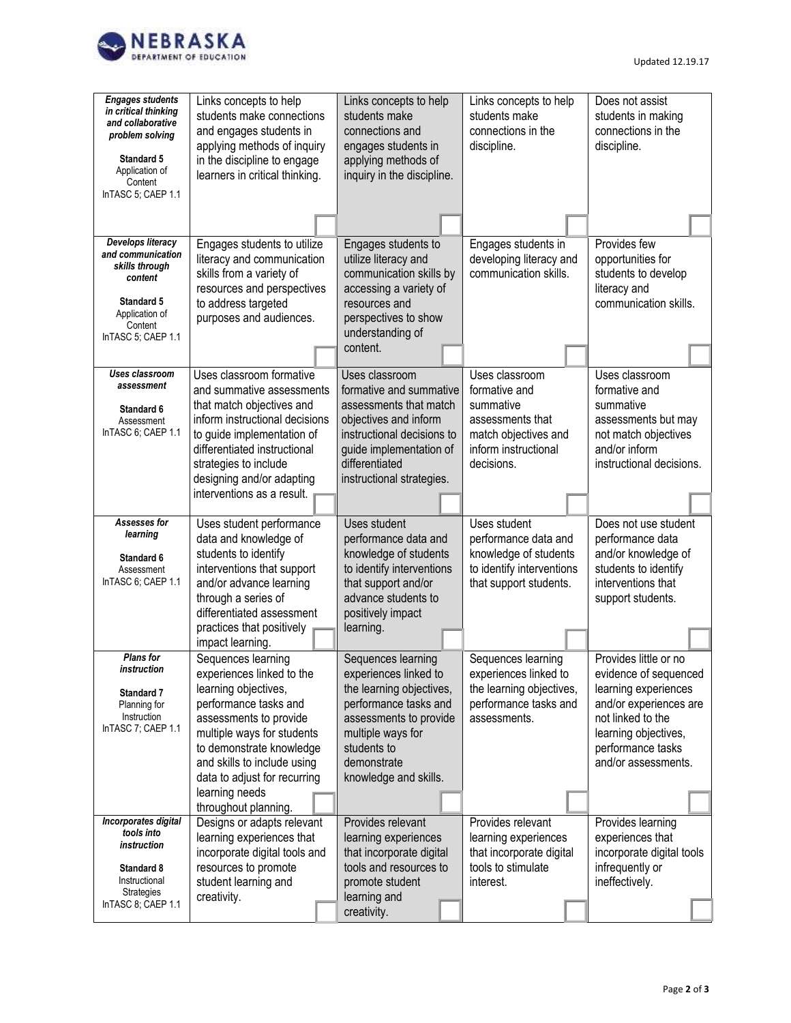

| <b>Engages students</b><br>in critical thinking<br>and collaborative<br>problem solving<br><b>Standard 5</b><br>Application of<br>Content<br>InTASC 5; CAEP 1.1 | Links concepts to help<br>students make connections<br>and engages students in<br>applying methods of inquiry<br>in the discipline to engage<br>learners in critical thinking.                                                                  | Links concepts to help<br>students make<br>connections and<br>engages students in<br>applying methods of<br>inquiry in the discipline.                                                               | Links concepts to help<br>students make<br>connections in the<br>discipline.                                         | Does not assist<br>students in making<br>connections in the<br>discipline.                                                                                       |
|-----------------------------------------------------------------------------------------------------------------------------------------------------------------|-------------------------------------------------------------------------------------------------------------------------------------------------------------------------------------------------------------------------------------------------|------------------------------------------------------------------------------------------------------------------------------------------------------------------------------------------------------|----------------------------------------------------------------------------------------------------------------------|------------------------------------------------------------------------------------------------------------------------------------------------------------------|
|                                                                                                                                                                 |                                                                                                                                                                                                                                                 |                                                                                                                                                                                                      |                                                                                                                      |                                                                                                                                                                  |
| <b>Develops literacy</b><br>and communication<br>skills through<br>content<br><b>Standard 5</b><br>Application of<br>Content<br>InTASC 5; CAEP 1.1              | Engages students to utilize<br>literacy and communication<br>skills from a variety of<br>resources and perspectives<br>to address targeted<br>purposes and audiences.                                                                           | Engages students to<br>utilize literacy and<br>communication skills by<br>accessing a variety of<br>resources and<br>perspectives to show<br>understanding of<br>content.                            | Engages students in<br>developing literacy and<br>communication skills.                                              | Provides few<br>opportunities for<br>students to develop<br>literacy and<br>communication skills.                                                                |
| Uses classroom                                                                                                                                                  | Uses classroom formative                                                                                                                                                                                                                        |                                                                                                                                                                                                      | Uses classroom                                                                                                       | Uses classroom                                                                                                                                                   |
| assessment<br><b>Standard 6</b><br>Assessment<br>InTASC 6; CAEP 1.1                                                                                             | and summative assessments<br>that match objectives and<br>inform instructional decisions<br>to guide implementation of<br>differentiated instructional<br>strategies to include<br>designing and/or adapting<br>interventions as a result.      | Uses classroom<br>formative and summative<br>assessments that match<br>objectives and inform<br>instructional decisions to<br>guide implementation of<br>differentiated<br>instructional strategies. | formative and<br>summative<br>assessments that<br>match objectives and<br>inform instructional<br>decisions.         | formative and<br>summative<br>assessments but may<br>not match objectives<br>and/or inform<br>instructional decisions.                                           |
|                                                                                                                                                                 |                                                                                                                                                                                                                                                 |                                                                                                                                                                                                      |                                                                                                                      |                                                                                                                                                                  |
| Assesses for<br>learning<br><b>Standard 6</b><br>Assessment<br>InTASC 6; CAEP 1.1                                                                               | Uses student performance<br>data and knowledge of<br>students to identify<br>interventions that support<br>and/or advance learning<br>through a series of<br>differentiated assessment<br>practices that positively<br>impact learning.         | Uses student<br>performance data and<br>knowledge of students<br>to identify interventions<br>that support and/or<br>advance students to<br>positively impact<br>learning.                           | Uses student<br>performance data and<br>knowledge of students<br>to identify interventions<br>that support students. | Does not use student<br>performance data<br>and/or knowledge of<br>students to identify<br>interventions that<br>support students.                               |
| <b>Plans</b> for                                                                                                                                                | Sequences learning                                                                                                                                                                                                                              | Sequences learning                                                                                                                                                                                   | Sequences learning                                                                                                   | Provides little or no                                                                                                                                            |
| instruction<br><b>Standard 7</b><br>Planning for<br>Instruction<br>InTASC 7; CAEP 1.1                                                                           | experiences linked to the<br>learning objectives,<br>performance tasks and<br>assessments to provide<br>multiple ways for students<br>to demonstrate knowledge<br>and skills to include using<br>data to adjust for recurring<br>learning needs | experiences linked to<br>the learning objectives,<br>performance tasks and<br>assessments to provide<br>multiple ways for<br>students to<br>demonstrate<br>knowledge and skills.                     | experiences linked to<br>the learning objectives,<br>performance tasks and<br>assessments.                           | evidence of sequenced<br>learning experiences<br>and/or experiences are<br>not linked to the<br>learning objectives,<br>performance tasks<br>and/or assessments. |
|                                                                                                                                                                 | throughout planning.                                                                                                                                                                                                                            |                                                                                                                                                                                                      |                                                                                                                      |                                                                                                                                                                  |
| Incorporates digital<br>tools into<br>instruction<br>Standard 8<br>Instructional<br>Strategies<br>InTASC 8; CAEP 1.1                                            | Designs or adapts relevant<br>learning experiences that<br>incorporate digital tools and<br>resources to promote<br>student learning and<br>creativity.                                                                                         | Provides relevant<br>learning experiences<br>that incorporate digital<br>tools and resources to<br>promote student<br>learning and<br>creativity.                                                    | Provides relevant<br>learning experiences<br>that incorporate digital<br>tools to stimulate<br>interest.             | Provides learning<br>experiences that<br>incorporate digital tools<br>infrequently or<br>ineffectively.                                                          |